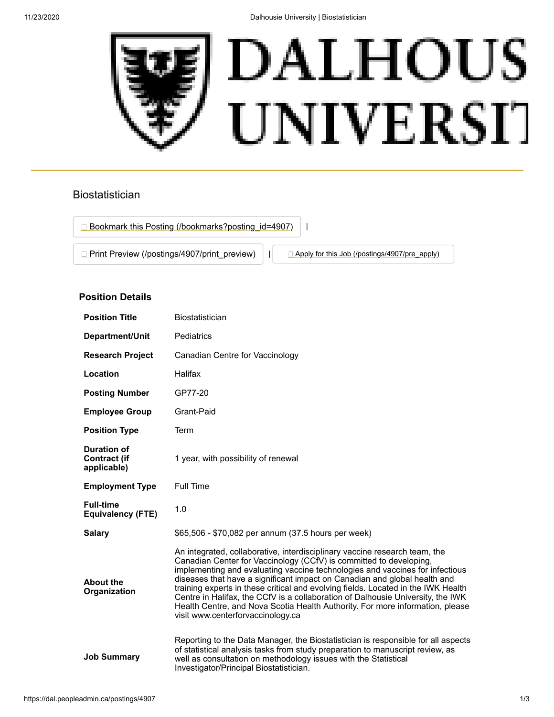

## Biostatistician



## **Position Details**

| <b>Position Title</b>                                    | Biostatistician                                                                                                                                                                                                                                                                                                                                                                                                                                                                                                                                                                                             |
|----------------------------------------------------------|-------------------------------------------------------------------------------------------------------------------------------------------------------------------------------------------------------------------------------------------------------------------------------------------------------------------------------------------------------------------------------------------------------------------------------------------------------------------------------------------------------------------------------------------------------------------------------------------------------------|
| Department/Unit                                          | Pediatrics                                                                                                                                                                                                                                                                                                                                                                                                                                                                                                                                                                                                  |
| <b>Research Project</b>                                  | Canadian Centre for Vaccinology                                                                                                                                                                                                                                                                                                                                                                                                                                                                                                                                                                             |
| Location                                                 | Halifax                                                                                                                                                                                                                                                                                                                                                                                                                                                                                                                                                                                                     |
| <b>Posting Number</b>                                    | GP77-20                                                                                                                                                                                                                                                                                                                                                                                                                                                                                                                                                                                                     |
| <b>Employee Group</b>                                    | Grant-Paid                                                                                                                                                                                                                                                                                                                                                                                                                                                                                                                                                                                                  |
| <b>Position Type</b>                                     | Term                                                                                                                                                                                                                                                                                                                                                                                                                                                                                                                                                                                                        |
| <b>Duration of</b><br><b>Contract (if</b><br>applicable) | 1 year, with possibility of renewal                                                                                                                                                                                                                                                                                                                                                                                                                                                                                                                                                                         |
| <b>Employment Type</b>                                   | <b>Full Time</b>                                                                                                                                                                                                                                                                                                                                                                                                                                                                                                                                                                                            |
| <b>Full-time</b><br><b>Equivalency (FTE)</b>             | 1.0                                                                                                                                                                                                                                                                                                                                                                                                                                                                                                                                                                                                         |
| <b>Salary</b>                                            | \$65,506 - \$70,082 per annum (37.5 hours per week)                                                                                                                                                                                                                                                                                                                                                                                                                                                                                                                                                         |
| <b>About the</b><br>Organization                         | An integrated, collaborative, interdisciplinary vaccine research team, the<br>Canadian Center for Vaccinology (CCfV) is committed to developing,<br>implementing and evaluating vaccine technologies and vaccines for infectious<br>diseases that have a significant impact on Canadian and global health and<br>training experts in these critical and evolving fields. Located in the IWK Health<br>Centre in Halifax, the CCfV is a collaboration of Dalhousie University, the IWK<br>Health Centre, and Nova Scotia Health Authority. For more information, please<br>visit www.centerforvaccinology.ca |
| <b>Job Summary</b>                                       | Reporting to the Data Manager, the Biostatistician is responsible for all aspects<br>of statistical analysis tasks from study preparation to manuscript review, as<br>well as consultation on methodology issues with the Statistical<br>Investigator/Principal Biostatistician.                                                                                                                                                                                                                                                                                                                            |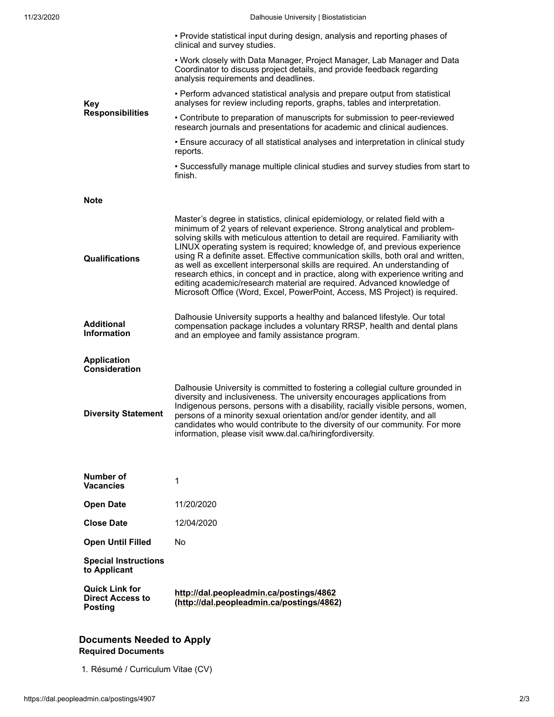| <b>Key</b><br><b>Responsibilities</b>                              | • Provide statistical input during design, analysis and reporting phases of<br>clinical and survey studies.                                                                                                                                                                                                                                                                                                                                                                                                                                                                                                                                                                                                                                |
|--------------------------------------------------------------------|--------------------------------------------------------------------------------------------------------------------------------------------------------------------------------------------------------------------------------------------------------------------------------------------------------------------------------------------------------------------------------------------------------------------------------------------------------------------------------------------------------------------------------------------------------------------------------------------------------------------------------------------------------------------------------------------------------------------------------------------|
|                                                                    | • Work closely with Data Manager, Project Manager, Lab Manager and Data<br>Coordinator to discuss project details, and provide feedback regarding<br>analysis requirements and deadlines.                                                                                                                                                                                                                                                                                                                                                                                                                                                                                                                                                  |
|                                                                    | • Perform advanced statistical analysis and prepare output from statistical<br>analyses for review including reports, graphs, tables and interpretation.                                                                                                                                                                                                                                                                                                                                                                                                                                                                                                                                                                                   |
|                                                                    | • Contribute to preparation of manuscripts for submission to peer-reviewed<br>research journals and presentations for academic and clinical audiences.                                                                                                                                                                                                                                                                                                                                                                                                                                                                                                                                                                                     |
|                                                                    | • Ensure accuracy of all statistical analyses and interpretation in clinical study<br>reports.                                                                                                                                                                                                                                                                                                                                                                                                                                                                                                                                                                                                                                             |
|                                                                    | • Successfully manage multiple clinical studies and survey studies from start to<br>finish.                                                                                                                                                                                                                                                                                                                                                                                                                                                                                                                                                                                                                                                |
| Note                                                               |                                                                                                                                                                                                                                                                                                                                                                                                                                                                                                                                                                                                                                                                                                                                            |
| Qualifications                                                     | Master's degree in statistics, clinical epidemiology, or related field with a<br>minimum of 2 years of relevant experience. Strong analytical and problem-<br>solving skills with meticulous attention to detail are required. Familiarity with<br>LINUX operating system is required; knowledge of, and previous experience<br>using R a definite asset. Effective communication skills, both oral and written,<br>as well as excellent interpersonal skills are required. An understanding of<br>research ethics, in concept and in practice, along with experience writing and<br>editing academic/research material are required. Advanced knowledge of<br>Microsoft Office (Word, Excel, PowerPoint, Access, MS Project) is required. |
| <b>Additional</b><br><b>Information</b>                            | Dalhousie University supports a healthy and balanced lifestyle. Our total<br>compensation package includes a voluntary RRSP, health and dental plans<br>and an employee and family assistance program.                                                                                                                                                                                                                                                                                                                                                                                                                                                                                                                                     |
| <b>Application</b><br><b>Consideration</b>                         |                                                                                                                                                                                                                                                                                                                                                                                                                                                                                                                                                                                                                                                                                                                                            |
| <b>Diversity Statement</b>                                         | Dalhousie University is committed to fostering a collegial culture grounded in<br>diversity and inclusiveness. The university encourages applications from<br>Indigenous persons, persons with a disability, racially visible persons, women,<br>persons of a minority sexual orientation and/or gender identity, and all<br>candidates who would contribute to the diversity of our community. For more<br>information, please visit www.dal.ca/hiringfordiversity.                                                                                                                                                                                                                                                                       |
| Number of<br><b>Vacancies</b>                                      | 1                                                                                                                                                                                                                                                                                                                                                                                                                                                                                                                                                                                                                                                                                                                                          |
| <b>Open Date</b>                                                   | 11/20/2020                                                                                                                                                                                                                                                                                                                                                                                                                                                                                                                                                                                                                                                                                                                                 |
| <b>Close Date</b>                                                  | 12/04/2020                                                                                                                                                                                                                                                                                                                                                                                                                                                                                                                                                                                                                                                                                                                                 |
| <b>Open Until Filled</b>                                           | No.                                                                                                                                                                                                                                                                                                                                                                                                                                                                                                                                                                                                                                                                                                                                        |
| <b>Special Instructions</b><br>to Applicant                        |                                                                                                                                                                                                                                                                                                                                                                                                                                                                                                                                                                                                                                                                                                                                            |
| <b>Quick Link for</b><br><b>Direct Access to</b><br><b>Posting</b> | http://dal.peopleadmin.ca/postings/4862<br>(http://dal.peopleadmin.ca/postings/4862)                                                                                                                                                                                                                                                                                                                                                                                                                                                                                                                                                                                                                                                       |

## **Documents Needed to Apply Required Documents**

1. Résumé / Curriculum Vitae (CV)